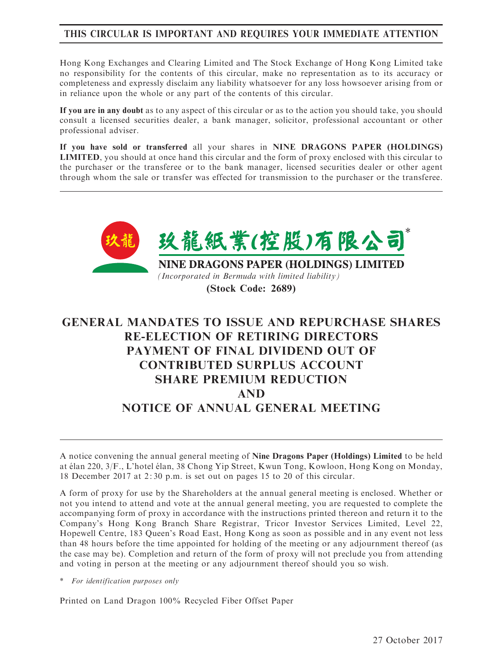# THIS CIRCULAR IS IMPORTANT AND REQUIRES YOUR IMMEDIATE ATTENTION

Hong Kong Exchanges and Clearing Limited and The Stock Exchange of Hong Kong Limited take no responsibility for the contents of this circular, make no representation as to its accuracy or completeness and expressly disclaim any liability whatsoever for any loss howsoever arising from or in reliance upon the whole or any part of the contents of this circular.

If you are in any doubt as to any aspect of this circular or as to the action you should take, you should consult a licensed securities dealer, a bank manager, solicitor, professional accountant or other professional adviser.

If you have sold or transferred all your shares in NINE DRAGONS PAPER (HOLDINGS) LIMITED, you should at once hand this circular and the form of proxy enclosed with this circular to the purchaser or the transferee or to the bank manager, licensed securities dealer or other agent through whom the sale or transfer was effected for transmission to the purchaser or the transferee.



(Stock Code: 2689)

# GENERAL MANDATES TO ISSUE AND REPURCHASE SHARES RE-ELECTION OF RETIRING DIRECTORS PAYMENT OF FINAL DIVIDEND OUT OF CONTRIBUTED SURPLUS ACCOUNT SHARE PREMIUM REDUCTION AND NOTICE OF ANNUAL GENERAL MEETING

A notice convening the annual general meeting of Nine Dragons Paper (Holdings) Limited to be held at élan 220, 3/F., L'hotel élan, 38 Chong Yip Street, Kwun Tong, Kowloon, Hong Kong on Monday, 18 December 2017 at 2: 30 p.m. is set out on pages 15 to 20 of this circular.

A form of proxy for use by the Shareholders at the annual general meeting is enclosed. Whether or not you intend to attend and vote at the annual general meeting, you are requested to complete the accompanying form of proxy in accordance with the instructions printed thereon and return it to the Company's Hong Kong Branch Share Registrar, Tricor Investor Services Limited, Level 22, Hopewell Centre, 183 Queen's Road East, Hong Kong as soon as possible and in any event not less than 48 hours before the time appointed for holding of the meeting or any adjournment thereof (as the case may be). Completion and return of the form of proxy will not preclude you from attending and voting in person at the meeting or any adjournment thereof should you so wish.

\* For identification purposes only

Printed on Land Dragon 100% Recycled Fiber Offset Paper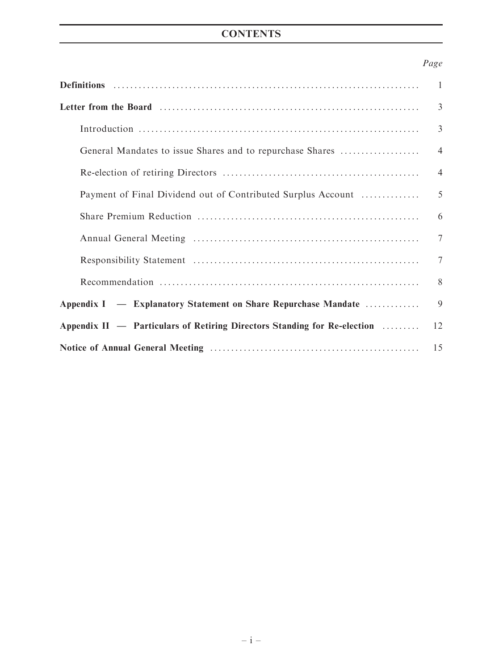# **CONTENTS**

# Page

|                                                                          | $\mathbf{1}$   |  |  |
|--------------------------------------------------------------------------|----------------|--|--|
|                                                                          | 3              |  |  |
|                                                                          | $\overline{3}$ |  |  |
| General Mandates to issue Shares and to repurchase Shares                | $\overline{4}$ |  |  |
|                                                                          | $\overline{4}$ |  |  |
| Payment of Final Dividend out of Contributed Surplus Account             |                |  |  |
|                                                                          |                |  |  |
|                                                                          |                |  |  |
|                                                                          | 7              |  |  |
|                                                                          | 8              |  |  |
| Appendix I — Explanatory Statement on Share Repurchase Mandate           |                |  |  |
| Appendix II - Particulars of Retiring Directors Standing for Re-election |                |  |  |
| 15                                                                       |                |  |  |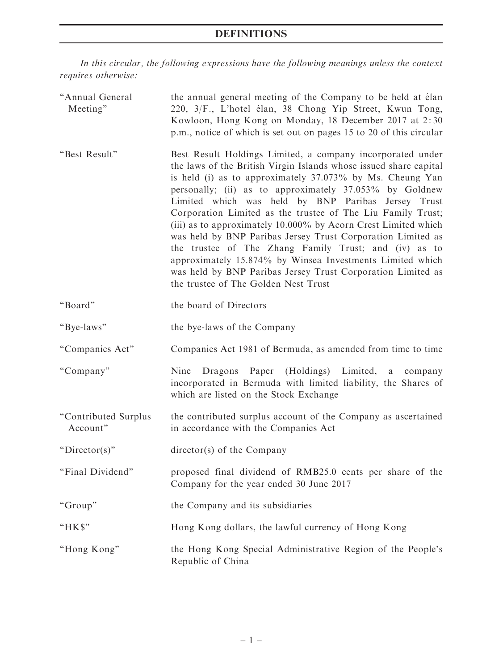# DEFINITIONS

In this circular, the following expressions have the following meanings unless the context requires otherwise:

| "Annual General<br>Meeting"      | the annual general meeting of the Company to be held at élan<br>220, 3/F., L'hotel élan, 38 Chong Yip Street, Kwun Tong,<br>Kowloon, Hong Kong on Monday, 18 December 2017 at 2:30<br>p.m., notice of which is set out on pages 15 to 20 of this circular                                                                                                                                                                                                                                                                                                                                                                                                                                                                                  |
|----------------------------------|--------------------------------------------------------------------------------------------------------------------------------------------------------------------------------------------------------------------------------------------------------------------------------------------------------------------------------------------------------------------------------------------------------------------------------------------------------------------------------------------------------------------------------------------------------------------------------------------------------------------------------------------------------------------------------------------------------------------------------------------|
| "Best Result"                    | Best Result Holdings Limited, a company incorporated under<br>the laws of the British Virgin Islands whose issued share capital<br>is held (i) as to approximately 37.073% by Ms. Cheung Yan<br>personally; (ii) as to approximately 37.053% by Goldnew<br>Limited which was held by BNP Paribas Jersey Trust<br>Corporation Limited as the trustee of The Liu Family Trust;<br>(iii) as to approximately 10.000% by Acorn Crest Limited which<br>was held by BNP Paribas Jersey Trust Corporation Limited as<br>the trustee of The Zhang Family Trust; and (iv) as to<br>approximately 15.874% by Winsea Investments Limited which<br>was held by BNP Paribas Jersey Trust Corporation Limited as<br>the trustee of The Golden Nest Trust |
| "Board"                          | the board of Directors                                                                                                                                                                                                                                                                                                                                                                                                                                                                                                                                                                                                                                                                                                                     |
| "Bye-laws"                       | the bye-laws of the Company                                                                                                                                                                                                                                                                                                                                                                                                                                                                                                                                                                                                                                                                                                                |
| "Companies Act"                  | Companies Act 1981 of Bermuda, as amended from time to time                                                                                                                                                                                                                                                                                                                                                                                                                                                                                                                                                                                                                                                                                |
| "Company"                        | Dragons Paper (Holdings) Limited,<br>Nine<br>a a<br>company<br>incorporated in Bermuda with limited liability, the Shares of<br>which are listed on the Stock Exchange                                                                                                                                                                                                                                                                                                                                                                                                                                                                                                                                                                     |
| "Contributed Surplus<br>Account" | the contributed surplus account of the Company as ascertained<br>in accordance with the Companies Act                                                                                                                                                                                                                                                                                                                                                                                                                                                                                                                                                                                                                                      |
| " $Director(s)$ "                | $\text{directory}(s)$ of the Company                                                                                                                                                                                                                                                                                                                                                                                                                                                                                                                                                                                                                                                                                                       |
| "Final Dividend"                 | proposed final dividend of RMB25.0 cents per share of the<br>Company for the year ended 30 June 2017                                                                                                                                                                                                                                                                                                                                                                                                                                                                                                                                                                                                                                       |
| "Group"                          | the Company and its subsidiaries                                                                                                                                                                                                                                                                                                                                                                                                                                                                                                                                                                                                                                                                                                           |
| "HK\$"                           | Hong Kong dollars, the lawful currency of Hong Kong                                                                                                                                                                                                                                                                                                                                                                                                                                                                                                                                                                                                                                                                                        |
| "Hong Kong"                      | the Hong Kong Special Administrative Region of the People's<br>Republic of China                                                                                                                                                                                                                                                                                                                                                                                                                                                                                                                                                                                                                                                           |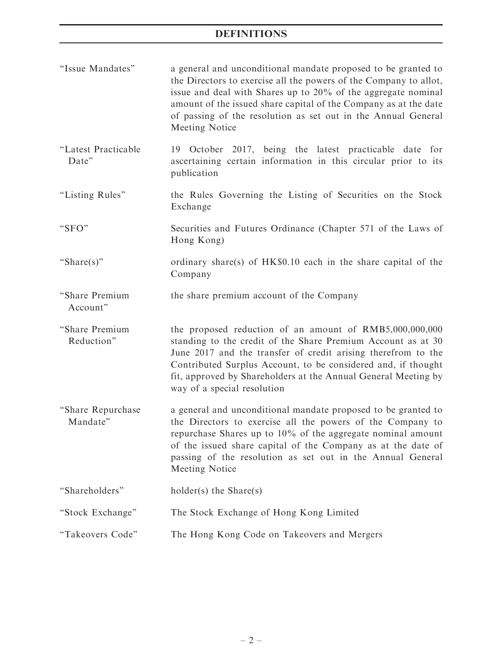## DEFINITIONS

- ''Issue Mandates'' a general and unconditional mandate proposed to be granted to the Directors to exercise all the powers of the Company to allot, issue and deal with Shares up to 20% of the aggregate nominal amount of the issued share capital of the Company as at the date of passing of the resolution as set out in the Annual General Meeting Notice
- ''Latest Practicable Date'' 19 October 2017, being the latest practicable date for ascertaining certain information in this circular prior to its publication
- "Listing Rules" the Rules Governing the Listing of Securities on the Stock Exchange
- ''SFO'' Securities and Futures Ordinance (Chapter 571 of the Laws of Hong Kong)
- ''Share(s)'' ordinary share(s) of HK\$0.10 each in the share capital of the Company
- ''Share Premium the share premium account of the Company
- Account''
- ''Share Premium Reduction'' the proposed reduction of an amount of RMB5,000,000,000 standing to the credit of the Share Premium Account as at 30 June 2017 and the transfer of credit arising therefrom to the Contributed Surplus Account, to be considered and, if thought fit, approved by Shareholders at the Annual General Meeting by way of a special resolution
- ''Share Repurchase Mandate'' a general and unconditional mandate proposed to be granted to the Directors to exercise all the powers of the Company to repurchase Shares up to 10% of the aggregate nominal amount of the issued share capital of the Company as at the date of passing of the resolution as set out in the Annual General Meeting Notice

''Shareholders'' holder(s) the Share(s)

- ''Stock Exchange'' The Stock Exchange of Hong Kong Limited
- "Takeovers Code" The Hong Kong Code on Takeovers and Mergers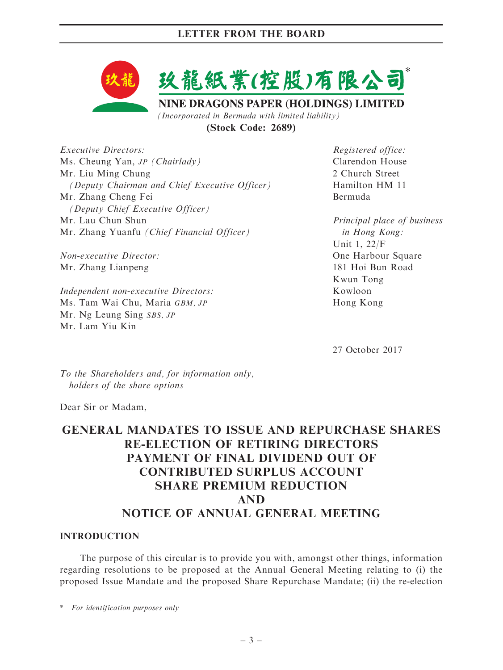

(Stock Code: 2689)

Executive Directors: Ms. Cheung Yan, JP (Chairlady) Mr. Liu Ming Chung (Deputy Chairman and Chief Executive Officer) Mr. Zhang Cheng Fei (Deputy Chief Executive Officer) Mr. Lau Chun Shun Mr. Zhang Yuanfu (Chief Financial Officer)

Non-executive Director: Mr. Zhang Lianpeng

Independent non-executive Directors: Ms. Tam Wai Chu, Maria GBM, JP Mr. Ng Leung Sing SBS, JP Mr. Lam Yiu Kin

Registered office: Clarendon House 2 Church Street Hamilton HM 11 Bermuda

Principal place of business in Hong Kong: Unit 1, 22/F One Harbour Square 181 Hoi Bun Road Kwun Tong Kowloon Hong Kong

27 October 2017

To the Shareholders and, for information only, holders of the share options

Dear Sir or Madam,

# GENERAL MANDATES TO ISSUE AND REPURCHASE SHARES RE-ELECTION OF RETIRING DIRECTORS PAYMENT OF FINAL DIVIDEND OUT OF CONTRIBUTED SURPLUS ACCOUNT SHARE PREMIUM REDUCTION AND NOTICE OF ANNUAL GENERAL MEETING

#### INTRODUCTION

The purpose of this circular is to provide you with, amongst other things, information regarding resolutions to be proposed at the Annual General Meeting relating to (i) the proposed Issue Mandate and the proposed Share Repurchase Mandate; (ii) the re-election

\* For identification purposes only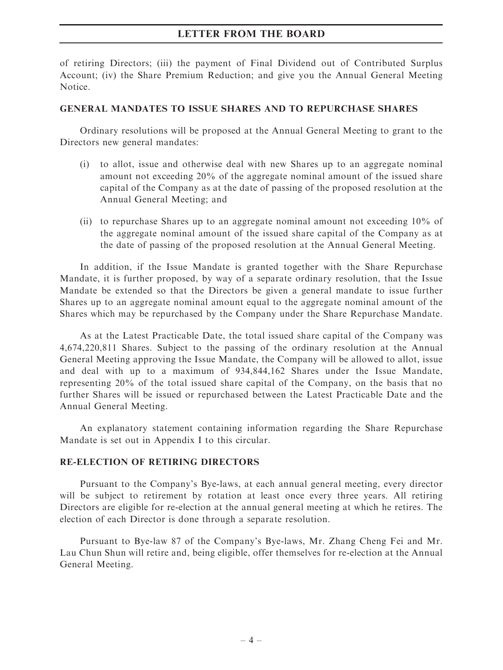of retiring Directors; (iii) the payment of Final Dividend out of Contributed Surplus Account; (iv) the Share Premium Reduction; and give you the Annual General Meeting Notice.

#### GENERAL MANDATES TO ISSUE SHARES AND TO REPURCHASE SHARES

Ordinary resolutions will be proposed at the Annual General Meeting to grant to the Directors new general mandates:

- (i) to allot, issue and otherwise deal with new Shares up to an aggregate nominal amount not exceeding 20% of the aggregate nominal amount of the issued share capital of the Company as at the date of passing of the proposed resolution at the Annual General Meeting; and
- (ii) to repurchase Shares up to an aggregate nominal amount not exceeding 10% of the aggregate nominal amount of the issued share capital of the Company as at the date of passing of the proposed resolution at the Annual General Meeting.

In addition, if the Issue Mandate is granted together with the Share Repurchase Mandate, it is further proposed, by way of a separate ordinary resolution, that the Issue Mandate be extended so that the Directors be given a general mandate to issue further Shares up to an aggregate nominal amount equal to the aggregate nominal amount of the Shares which may be repurchased by the Company under the Share Repurchase Mandate.

As at the Latest Practicable Date, the total issued share capital of the Company was 4,674,220,811 Shares. Subject to the passing of the ordinary resolution at the Annual General Meeting approving the Issue Mandate, the Company will be allowed to allot, issue and deal with up to a maximum of 934,844,162 Shares under the Issue Mandate, representing 20% of the total issued share capital of the Company, on the basis that no further Shares will be issued or repurchased between the Latest Practicable Date and the Annual General Meeting.

An explanatory statement containing information regarding the Share Repurchase Mandate is set out in Appendix I to this circular.

### RE-ELECTION OF RETIRING DIRECTORS

Pursuant to the Company's Bye-laws, at each annual general meeting, every director will be subject to retirement by rotation at least once every three years. All retiring Directors are eligible for re-election at the annual general meeting at which he retires. The election of each Director is done through a separate resolution.

Pursuant to Bye-law 87 of the Company's Bye-laws, Mr. Zhang Cheng Fei and Mr. Lau Chun Shun will retire and, being eligible, offer themselves for re-election at the Annual General Meeting.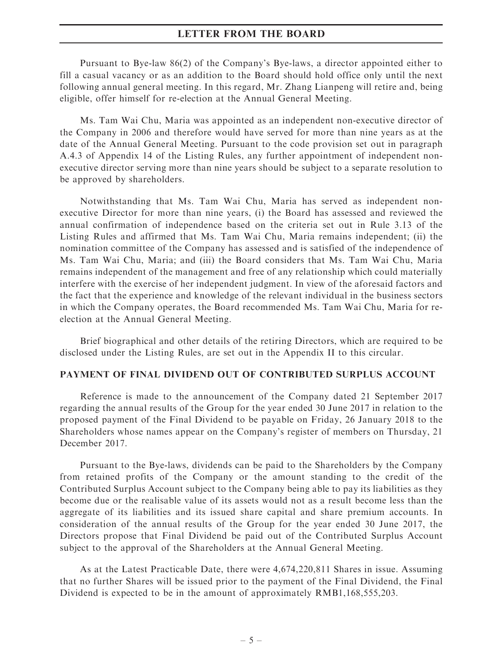Pursuant to Bye-law 86(2) of the Company's Bye-laws, a director appointed either to fill a casual vacancy or as an addition to the Board should hold office only until the next following annual general meeting. In this regard, Mr. Zhang Lianpeng will retire and, being eligible, offer himself for re-election at the Annual General Meeting.

Ms. Tam Wai Chu, Maria was appointed as an independent non-executive director of the Company in 2006 and therefore would have served for more than nine years as at the date of the Annual General Meeting. Pursuant to the code provision set out in paragraph A.4.3 of Appendix 14 of the Listing Rules, any further appointment of independent nonexecutive director serving more than nine years should be subject to a separate resolution to be approved by shareholders.

Notwithstanding that Ms. Tam Wai Chu, Maria has served as independent nonexecutive Director for more than nine years, (i) the Board has assessed and reviewed the annual confirmation of independence based on the criteria set out in Rule 3.13 of the Listing Rules and affirmed that Ms. Tam Wai Chu, Maria remains independent; (ii) the nomination committee of the Company has assessed and is satisfied of the independence of Ms. Tam Wai Chu, Maria; and (iii) the Board considers that Ms. Tam Wai Chu, Maria remains independent of the management and free of any relationship which could materially interfere with the exercise of her independent judgment. In view of the aforesaid factors and the fact that the experience and knowledge of the relevant individual in the business sectors in which the Company operates, the Board recommended Ms. Tam Wai Chu, Maria for reelection at the Annual General Meeting.

Brief biographical and other details of the retiring Directors, which are required to be disclosed under the Listing Rules, are set out in the Appendix II to this circular.

#### PAYMENT OF FINAL DIVIDEND OUT OF CONTRIBUTED SURPLUS ACCOUNT

Reference is made to the announcement of the Company dated 21 September 2017 regarding the annual results of the Group for the year ended 30 June 2017 in relation to the proposed payment of the Final Dividend to be payable on Friday, 26 January 2018 to the Shareholders whose names appear on the Company's register of members on Thursday, 21 December 2017.

Pursuant to the Bye-laws, dividends can be paid to the Shareholders by the Company from retained profits of the Company or the amount standing to the credit of the Contributed Surplus Account subject to the Company being able to pay its liabilities as they become due or the realisable value of its assets would not as a result become less than the aggregate of its liabilities and its issued share capital and share premium accounts. In consideration of the annual results of the Group for the year ended 30 June 2017, the Directors propose that Final Dividend be paid out of the Contributed Surplus Account subject to the approval of the Shareholders at the Annual General Meeting.

As at the Latest Practicable Date, there were 4,674,220,811 Shares in issue. Assuming that no further Shares will be issued prior to the payment of the Final Dividend, the Final Dividend is expected to be in the amount of approximately RMB1,168,555,203.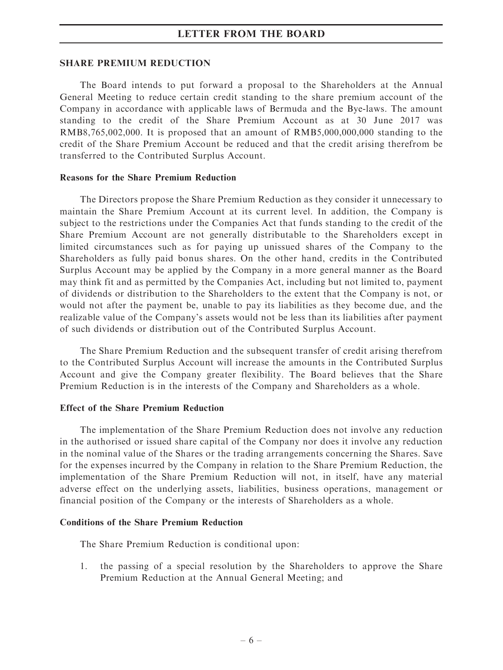#### SHARE PREMIUM REDUCTION

The Board intends to put forward a proposal to the Shareholders at the Annual General Meeting to reduce certain credit standing to the share premium account of the Company in accordance with applicable laws of Bermuda and the Bye-laws. The amount standing to the credit of the Share Premium Account as at 30 June 2017 was RMB8,765,002,000. It is proposed that an amount of RMB5,000,000,000 standing to the credit of the Share Premium Account be reduced and that the credit arising therefrom be transferred to the Contributed Surplus Account.

#### Reasons for the Share Premium Reduction

The Directors propose the Share Premium Reduction as they consider it unnecessary to maintain the Share Premium Account at its current level. In addition, the Company is subject to the restrictions under the Companies Act that funds standing to the credit of the Share Premium Account are not generally distributable to the Shareholders except in limited circumstances such as for paying up unissued shares of the Company to the Shareholders as fully paid bonus shares. On the other hand, credits in the Contributed Surplus Account may be applied by the Company in a more general manner as the Board may think fit and as permitted by the Companies Act, including but not limited to, payment of dividends or distribution to the Shareholders to the extent that the Company is not, or would not after the payment be, unable to pay its liabilities as they become due, and the realizable value of the Company's assets would not be less than its liabilities after payment of such dividends or distribution out of the Contributed Surplus Account.

The Share Premium Reduction and the subsequent transfer of credit arising therefrom to the Contributed Surplus Account will increase the amounts in the Contributed Surplus Account and give the Company greater flexibility. The Board believes that the Share Premium Reduction is in the interests of the Company and Shareholders as a whole.

#### Effect of the Share Premium Reduction

The implementation of the Share Premium Reduction does not involve any reduction in the authorised or issued share capital of the Company nor does it involve any reduction in the nominal value of the Shares or the trading arrangements concerning the Shares. Save for the expenses incurred by the Company in relation to the Share Premium Reduction, the implementation of the Share Premium Reduction will not, in itself, have any material adverse effect on the underlying assets, liabilities, business operations, management or financial position of the Company or the interests of Shareholders as a whole.

#### Conditions of the Share Premium Reduction

The Share Premium Reduction is conditional upon:

1. the passing of a special resolution by the Shareholders to approve the Share Premium Reduction at the Annual General Meeting; and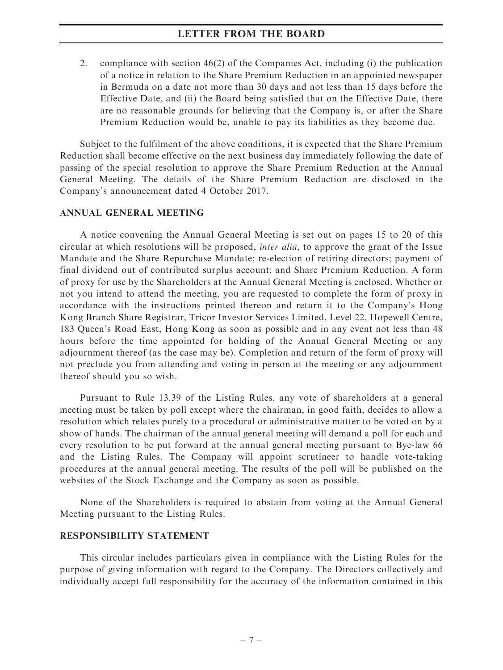2. compliance with section 46(2) of the Companies Act, including (i) the publication of a notice in relation to the Share Premium Reduction in an appointed newspaper in Bermuda on a date not more than 30 days and not less than 15 days before the Effective Date, and (ii) the Board being satisfied that on the Effective Date, there are no reasonable grounds for believing that the Company is, or after the Share Premium Reduction would be, unable to pay its liabilities as they become due.

Subject to the fulfilment of the above conditions, it is expected that the Share Premium Reduction shall become effective on the next business day immediately following the date of passing of the special resolution to approve the Share Premium Reduction at the Annual General Meeting. The details of the Share Premium Reduction are disclosed in the Company's announcement dated 4 October 2017.

#### ANNUAL GENERAL MEETING

A notice convening the Annual General Meeting is set out on pages 15 to 20 of this circular at which resolutions will be proposed, inter alia, to approve the grant of the Issue Mandate and the Share Repurchase Mandate; re-election of retiring directors; payment of final dividend out of contributed surplus account; and Share Premium Reduction. A form of proxy for use by the Shareholders at the Annual General Meeting is enclosed. Whether or not you intend to attend the meeting, you are requested to complete the form of proxy in accordance with the instructions printed thereon and return it to the Company's Hong Kong Branch Share Registrar, Tricor Investor Services Limited, Level 22, Hopewell Centre, 183 Queen's Road East, Hong Kong as soon as possible and in any event not less than 48 hours before the time appointed for holding of the Annual General Meeting or any adjournment thereof (as the case may be). Completion and return of the form of proxy will not preclude you from attending and voting in person at the meeting or any adjournment thereof should you so wish.

Pursuant to Rule 13.39 of the Listing Rules, any vote of shareholders at a general meeting must be taken by poll except where the chairman, in good faith, decides to allow a resolution which relates purely to a procedural or administrative matter to be voted on by a show of hands. The chairman of the annual general meeting will demand a poll for each and every resolution to be put forward at the annual general meeting pursuant to Bye-law 66 and the Listing Rules. The Company will appoint scrutineer to handle vote-taking procedures at the annual general meeting. The results of the poll will be published on the websites of the Stock Exchange and the Company as soon as possible.

None of the Shareholders is required to abstain from voting at the Annual General Meeting pursuant to the Listing Rules.

#### RESPONSIBILITY STATEMENT

This circular includes particulars given in compliance with the Listing Rules for the purpose of giving information with regard to the Company. The Directors collectively and individually accept full responsibility for the accuracy of the information contained in this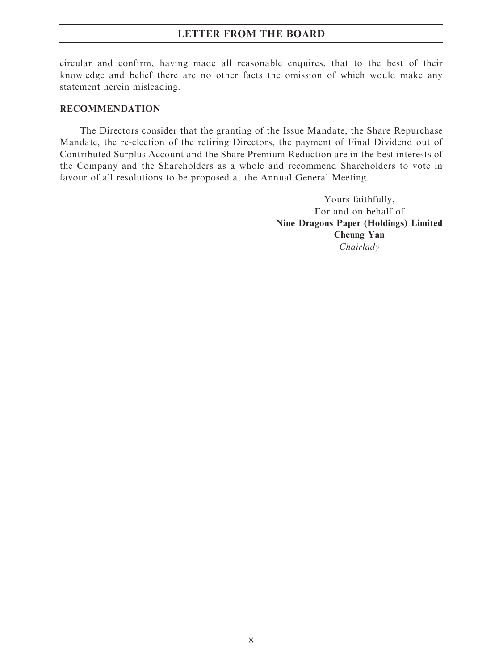circular and confirm, having made all reasonable enquires, that to the best of their knowledge and belief there are no other facts the omission of which would make any statement herein misleading.

#### RECOMMENDATION

The Directors consider that the granting of the Issue Mandate, the Share Repurchase Mandate, the re-election of the retiring Directors, the payment of Final Dividend out of Contributed Surplus Account and the Share Premium Reduction are in the best interests of the Company and the Shareholders as a whole and recommend Shareholders to vote in favour of all resolutions to be proposed at the Annual General Meeting.

> Yours faithfully, For and on behalf of Nine Dragons Paper (Holdings) Limited Cheung Yan Chairlady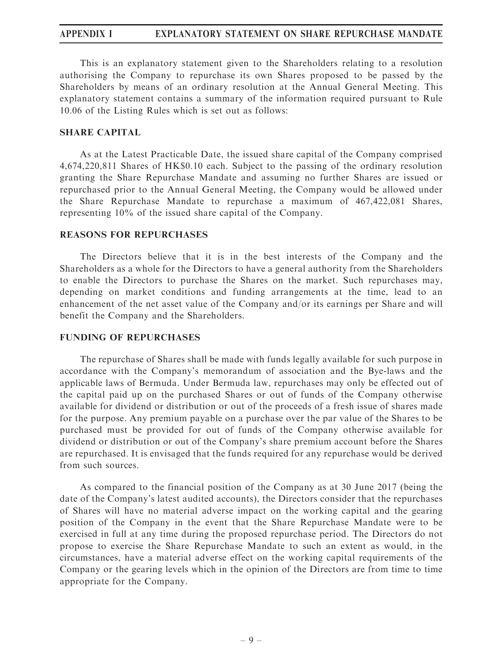# APPENDIX I EXPLANATORY STATEMENT ON SHARE REPURCHASE MANDATE

This is an explanatory statement given to the Shareholders relating to a resolution authorising the Company to repurchase its own Shares proposed to be passed by the Shareholders by means of an ordinary resolution at the Annual General Meeting. This explanatory statement contains a summary of the information required pursuant to Rule 10.06 of the Listing Rules which is set out as follows:

#### SHARE CAPITAL

As at the Latest Practicable Date, the issued share capital of the Company comprised 4,674,220,811 Shares of HK\$0.10 each. Subject to the passing of the ordinary resolution granting the Share Repurchase Mandate and assuming no further Shares are issued or repurchased prior to the Annual General Meeting, the Company would be allowed under the Share Repurchase Mandate to repurchase a maximum of 467,422,081 Shares, representing 10% of the issued share capital of the Company.

#### REASONS FOR REPURCHASES

The Directors believe that it is in the best interests of the Company and the Shareholders as a whole for the Directors to have a general authority from the Shareholders to enable the Directors to purchase the Shares on the market. Such repurchases may, depending on market conditions and funding arrangements at the time, lead to an enhancement of the net asset value of the Company and/or its earnings per Share and will benefit the Company and the Shareholders.

#### FUNDING OF REPURCHASES

The repurchase of Shares shall be made with funds legally available for such purpose in accordance with the Company's memorandum of association and the Bye-laws and the applicable laws of Bermuda. Under Bermuda law, repurchases may only be effected out of the capital paid up on the purchased Shares or out of funds of the Company otherwise available for dividend or distribution or out of the proceeds of a fresh issue of shares made for the purpose. Any premium payable on a purchase over the par value of the Shares to be purchased must be provided for out of funds of the Company otherwise available for dividend or distribution or out of the Company's share premium account before the Shares are repurchased. It is envisaged that the funds required for any repurchase would be derived from such sources.

As compared to the financial position of the Company as at 30 June 2017 (being the date of the Company's latest audited accounts), the Directors consider that the repurchases of Shares will have no material adverse impact on the working capital and the gearing position of the Company in the event that the Share Repurchase Mandate were to be exercised in full at any time during the proposed repurchase period. The Directors do not propose to exercise the Share Repurchase Mandate to such an extent as would, in the circumstances, have a material adverse effect on the working capital requirements of the Company or the gearing levels which in the opinion of the Directors are from time to time appropriate for the Company.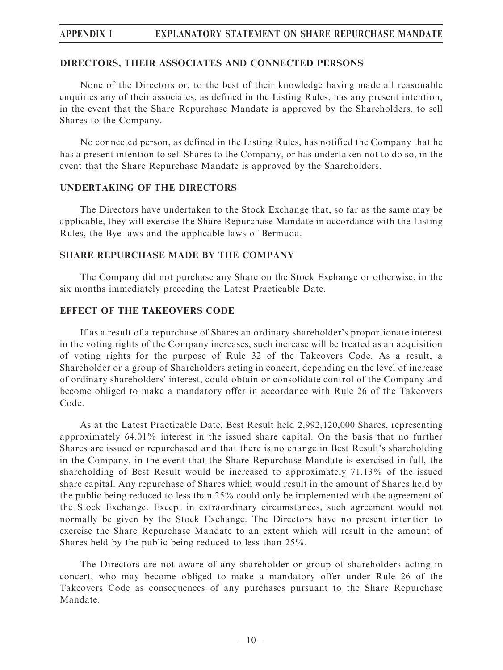# APPENDIX I EXPLANATORY STATEMENT ON SHARE REPURCHASE MANDATE

#### DIRECTORS, THEIR ASSOCIATES AND CONNECTED PERSONS

None of the Directors or, to the best of their knowledge having made all reasonable enquiries any of their associates, as defined in the Listing Rules, has any present intention, in the event that the Share Repurchase Mandate is approved by the Shareholders, to sell Shares to the Company.

No connected person, as defined in the Listing Rules, has notified the Company that he has a present intention to sell Shares to the Company, or has undertaken not to do so, in the event that the Share Repurchase Mandate is approved by the Shareholders.

#### UNDERTAKING OF THE DIRECTORS

The Directors have undertaken to the Stock Exchange that, so far as the same may be applicable, they will exercise the Share Repurchase Mandate in accordance with the Listing Rules, the Bye-laws and the applicable laws of Bermuda.

#### SHARE REPURCHASE MADE BY THE COMPANY

The Company did not purchase any Share on the Stock Exchange or otherwise, in the six months immediately preceding the Latest Practicable Date.

#### EFFECT OF THE TAKEOVERS CODE

If as a result of a repurchase of Shares an ordinary shareholder's proportionate interest in the voting rights of the Company increases, such increase will be treated as an acquisition of voting rights for the purpose of Rule 32 of the Takeovers Code. As a result, a Shareholder or a group of Shareholders acting in concert, depending on the level of increase of ordinary shareholders' interest, could obtain or consolidate control of the Company and become obliged to make a mandatory offer in accordance with Rule 26 of the Takeovers Code.

As at the Latest Practicable Date, Best Result held 2,992,120,000 Shares, representing approximately 64.01% interest in the issued share capital. On the basis that no further Shares are issued or repurchased and that there is no change in Best Result's shareholding in the Company, in the event that the Share Repurchase Mandate is exercised in full, the shareholding of Best Result would be increased to approximately 71.13% of the issued share capital. Any repurchase of Shares which would result in the amount of Shares held by the public being reduced to less than 25% could only be implemented with the agreement of the Stock Exchange. Except in extraordinary circumstances, such agreement would not normally be given by the Stock Exchange. The Directors have no present intention to exercise the Share Repurchase Mandate to an extent which will result in the amount of Shares held by the public being reduced to less than 25%.

The Directors are not aware of any shareholder or group of shareholders acting in concert, who may become obliged to make a mandatory offer under Rule 26 of the Takeovers Code as consequences of any purchases pursuant to the Share Repurchase Mandate.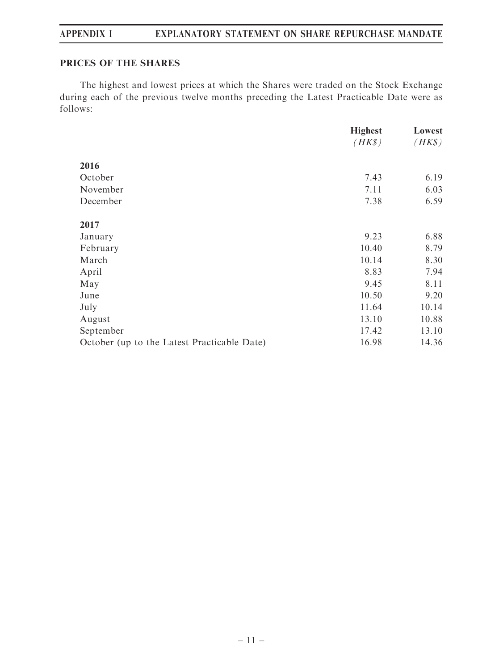# APPENDIX I EXPLANATORY STATEMENT ON SHARE REPURCHASE MANDATE

# PRICES OF THE SHARES

The highest and lowest prices at which the Shares were traded on the Stock Exchange during each of the previous twelve months preceding the Latest Practicable Date were as follows:

|                                             | <b>Highest</b> | Lowest |
|---------------------------------------------|----------------|--------|
|                                             | $(HK\$         | $(HK\$ |
| 2016                                        |                |        |
| October                                     | 7.43           | 6.19   |
| November                                    | 7.11           | 6.03   |
| December                                    | 7.38           | 6.59   |
| 2017                                        |                |        |
| January                                     | 9.23           | 6.88   |
| February                                    | 10.40          | 8.79   |
| March                                       | 10.14          | 8.30   |
| April                                       | 8.83           | 7.94   |
| May                                         | 9.45           | 8.11   |
| June                                        | 10.50          | 9.20   |
| July                                        | 11.64          | 10.14  |
| August                                      | 13.10          | 10.88  |
| September                                   | 17.42          | 13.10  |
| October (up to the Latest Practicable Date) | 16.98          | 14.36  |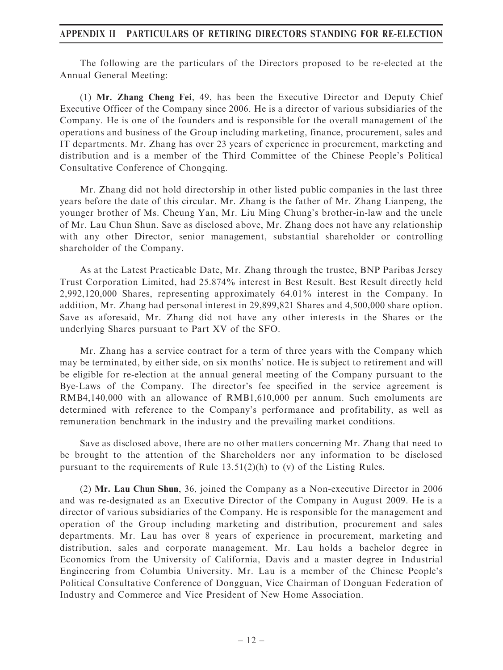### APPENDIX II PARTICULARS OF RETIRING DIRECTORS STANDING FOR RE-ELECTION

The following are the particulars of the Directors proposed to be re-elected at the Annual General Meeting:

(1) Mr. Zhang Cheng Fei, 49, has been the Executive Director and Deputy Chief Executive Officer of the Company since 2006. He is a director of various subsidiaries of the Company. He is one of the founders and is responsible for the overall management of the operations and business of the Group including marketing, finance, procurement, sales and IT departments. Mr. Zhang has over 23 years of experience in procurement, marketing and distribution and is a member of the Third Committee of the Chinese People's Political Consultative Conference of Chongqing.

Mr. Zhang did not hold directorship in other listed public companies in the last three years before the date of this circular. Mr. Zhang is the father of Mr. Zhang Lianpeng, the younger brother of Ms. Cheung Yan, Mr. Liu Ming Chung's brother-in-law and the uncle of Mr. Lau Chun Shun. Save as disclosed above, Mr. Zhang does not have any relationship with any other Director, senior management, substantial shareholder or controlling shareholder of the Company.

As at the Latest Practicable Date, Mr. Zhang through the trustee, BNP Paribas Jersey Trust Corporation Limited, had 25.874% interest in Best Result. Best Result directly held 2,992,120,000 Shares, representing approximately 64.01% interest in the Company. In addition, Mr. Zhang had personal interest in 29,899,821 Shares and 4,500,000 share option. Save as aforesaid, Mr. Zhang did not have any other interests in the Shares or the underlying Shares pursuant to Part XV of the SFO.

Mr. Zhang has a service contract for a term of three years with the Company which may be terminated, by either side, on six months' notice. He is subject to retirement and will be eligible for re-election at the annual general meeting of the Company pursuant to the Bye-Laws of the Company. The director's fee specified in the service agreement is RMB4,140,000 with an allowance of RMB1,610,000 per annum. Such emoluments are determined with reference to the Company's performance and profitability, as well as remuneration benchmark in the industry and the prevailing market conditions.

Save as disclosed above, there are no other matters concerning Mr. Zhang that need to be brought to the attention of the Shareholders nor any information to be disclosed pursuant to the requirements of Rule  $13.51(2)(h)$  to (v) of the Listing Rules.

(2) Mr. Lau Chun Shun, 36, joined the Company as a Non-executive Director in 2006 and was re-designated as an Executive Director of the Company in August 2009. He is a director of various subsidiaries of the Company. He is responsible for the management and operation of the Group including marketing and distribution, procurement and sales departments. Mr. Lau has over 8 years of experience in procurement, marketing and distribution, sales and corporate management. Mr. Lau holds a bachelor degree in Economics from the University of California, Davis and a master degree in Industrial Engineering from Columbia University. Mr. Lau is a member of the Chinese People's Political Consultative Conference of Dongguan, Vice Chairman of Donguan Federation of Industry and Commerce and Vice President of New Home Association.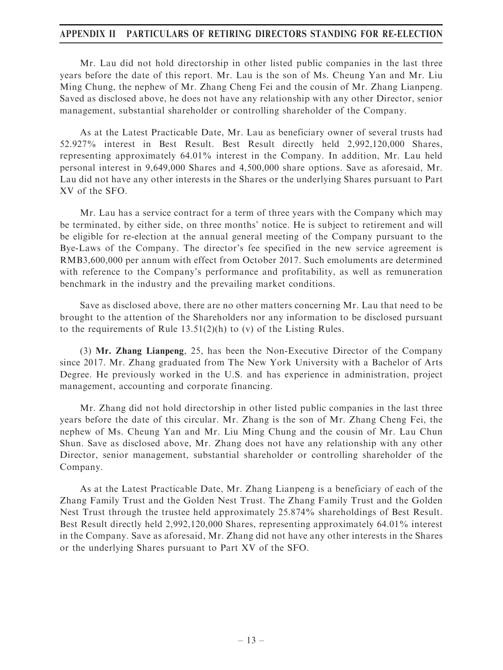### APPENDIX II PARTICULARS OF RETIRING DIRECTORS STANDING FOR RE-ELECTION

Mr. Lau did not hold directorship in other listed public companies in the last three years before the date of this report. Mr. Lau is the son of Ms. Cheung Yan and Mr. Liu Ming Chung, the nephew of Mr. Zhang Cheng Fei and the cousin of Mr. Zhang Lianpeng. Saved as disclosed above, he does not have any relationship with any other Director, senior management, substantial shareholder or controlling shareholder of the Company.

As at the Latest Practicable Date, Mr. Lau as beneficiary owner of several trusts had 52.927% interest in Best Result. Best Result directly held 2,992,120,000 Shares, representing approximately 64.01% interest in the Company. In addition, Mr. Lau held personal interest in 9,649,000 Shares and 4,500,000 share options. Save as aforesaid, Mr. Lau did not have any other interests in the Shares or the underlying Shares pursuant to Part XV of the SFO.

Mr. Lau has a service contract for a term of three years with the Company which may be terminated, by either side, on three months' notice. He is subject to retirement and will be eligible for re-election at the annual general meeting of the Company pursuant to the Bye-Laws of the Company. The director's fee specified in the new service agreement is RMB3,600,000 per annum with effect from October 2017. Such emoluments are determined with reference to the Company's performance and profitability, as well as remuneration benchmark in the industry and the prevailing market conditions.

Save as disclosed above, there are no other matters concerning Mr. Lau that need to be brought to the attention of the Shareholders nor any information to be disclosed pursuant to the requirements of Rule 13.51(2)(h) to (v) of the Listing Rules.

(3) Mr. Zhang Lianpeng, 25, has been the Non-Executive Director of the Company since 2017. Mr. Zhang graduated from The New York University with a Bachelor of Arts Degree. He previously worked in the U.S. and has experience in administration, project management, accounting and corporate financing.

Mr. Zhang did not hold directorship in other listed public companies in the last three years before the date of this circular. Mr. Zhang is the son of Mr. Zhang Cheng Fei, the nephew of Ms. Cheung Yan and Mr. Liu Ming Chung and the cousin of Mr. Lau Chun Shun. Save as disclosed above, Mr. Zhang does not have any relationship with any other Director, senior management, substantial shareholder or controlling shareholder of the Company.

As at the Latest Practicable Date, Mr. Zhang Lianpeng is a beneficiary of each of the Zhang Family Trust and the Golden Nest Trust. The Zhang Family Trust and the Golden Nest Trust through the trustee held approximately 25.874% shareholdings of Best Result. Best Result directly held 2,992,120,000 Shares, representing approximately 64.01% interest in the Company. Save as aforesaid, Mr. Zhang did not have any other interests in the Shares or the underlying Shares pursuant to Part XV of the SFO.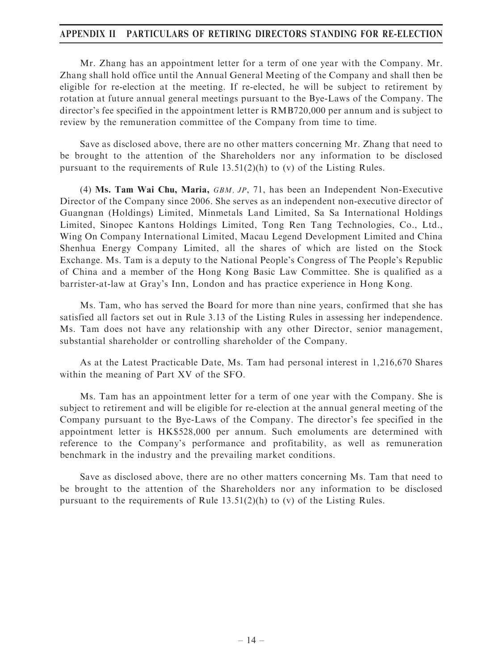### APPENDIX II PARTICULARS OF RETIRING DIRECTORS STANDING FOR RE-ELECTION

Mr. Zhang has an appointment letter for a term of one year with the Company. Mr. Zhang shall hold office until the Annual General Meeting of the Company and shall then be eligible for re-election at the meeting. If re-elected, he will be subject to retirement by rotation at future annual general meetings pursuant to the Bye-Laws of the Company. The director's fee specified in the appointment letter is RMB720,000 per annum and is subject to review by the remuneration committee of the Company from time to time.

Save as disclosed above, there are no other matters concerning Mr. Zhang that need to be brought to the attention of the Shareholders nor any information to be disclosed pursuant to the requirements of Rule  $13.51(2)(h)$  to (v) of the Listing Rules.

(4) Ms. Tam Wai Chu, Maria, GBM, JP, 71, has been an Independent Non-Executive Director of the Company since 2006. She serves as an independent non-executive director of Guangnan (Holdings) Limited, Minmetals Land Limited, Sa Sa International Holdings Limited, Sinopec Kantons Holdings Limited, Tong Ren Tang Technologies, Co., Ltd., Wing On Company International Limited, Macau Legend Development Limited and China Shenhua Energy Company Limited, all the shares of which are listed on the Stock Exchange. Ms. Tam is a deputy to the National People's Congress of The People's Republic of China and a member of the Hong Kong Basic Law Committee. She is qualified as a barrister-at-law at Gray's Inn, London and has practice experience in Hong Kong.

Ms. Tam, who has served the Board for more than nine years, confirmed that she has satisfied all factors set out in Rule 3.13 of the Listing Rules in assessing her independence. Ms. Tam does not have any relationship with any other Director, senior management, substantial shareholder or controlling shareholder of the Company.

As at the Latest Practicable Date, Ms. Tam had personal interest in 1,216,670 Shares within the meaning of Part XV of the SFO.

Ms. Tam has an appointment letter for a term of one year with the Company. She is subject to retirement and will be eligible for re-election at the annual general meeting of the Company pursuant to the Bye-Laws of the Company. The director's fee specified in the appointment letter is HK\$528,000 per annum. Such emoluments are determined with reference to the Company's performance and profitability, as well as remuneration benchmark in the industry and the prevailing market conditions.

Save as disclosed above, there are no other matters concerning Ms. Tam that need to be brought to the attention of the Shareholders nor any information to be disclosed pursuant to the requirements of Rule  $13.51(2)(h)$  to (v) of the Listing Rules.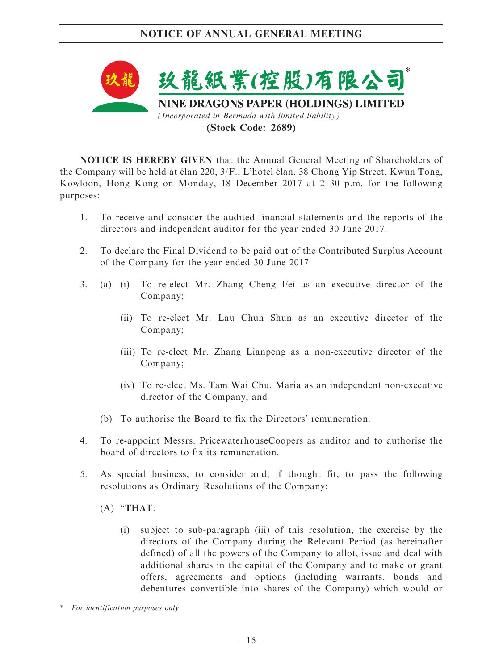

NOTICE IS HEREBY GIVEN that the Annual General Meeting of Shareholders of the Company will be held at élan 220,  $3/F$ ., L'hotel élan, 38 Chong Yip Street, Kwun Tong, Kowloon, Hong Kong on Monday, 18 December 2017 at 2: 30 p.m. for the following purposes:

- 1. To receive and consider the audited financial statements and the reports of the directors and independent auditor for the year ended 30 June 2017.
- 2. To declare the Final Dividend to be paid out of the Contributed Surplus Account of the Company for the year ended 30 June 2017.
- 3. (a) (i) To re-elect Mr. Zhang Cheng Fei as an executive director of the Company;
	- (ii) To re-elect Mr. Lau Chun Shun as an executive director of the Company;
	- (iii) To re-elect Mr. Zhang Lianpeng as a non-executive director of the Company;
	- (iv) To re-elect Ms. Tam Wai Chu, Maria as an independent non-executive director of the Company; and
	- (b) To authorise the Board to fix the Directors' remuneration.
- 4. To re-appoint Messrs. PricewaterhouseCoopers as auditor and to authorise the board of directors to fix its remuneration.
- 5. As special business, to consider and, if thought fit, to pass the following resolutions as Ordinary Resolutions of the Company:

### $(A)$  "THAT:

- (i) subject to sub-paragraph (iii) of this resolution, the exercise by the directors of the Company during the Relevant Period (as hereinafter defined) of all the powers of the Company to allot, issue and deal with additional shares in the capital of the Company and to make or grant offers, agreements and options (including warrants, bonds and debentures convertible into shares of the Company) which would or
- \* For identification purposes only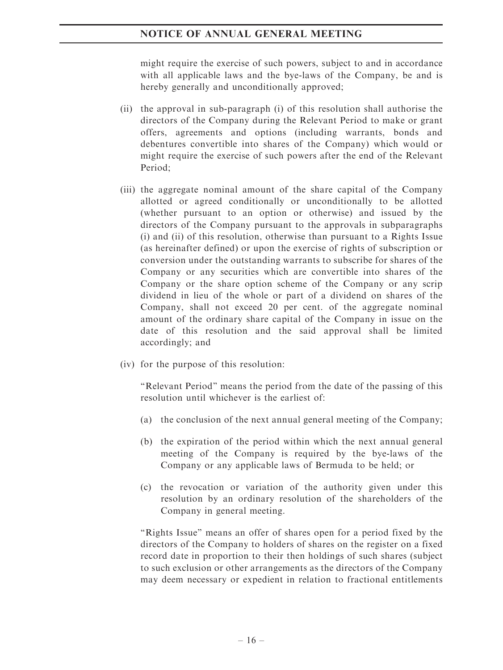might require the exercise of such powers, subject to and in accordance with all applicable laws and the bye-laws of the Company, be and is hereby generally and unconditionally approved;

- (ii) the approval in sub-paragraph (i) of this resolution shall authorise the directors of the Company during the Relevant Period to make or grant offers, agreements and options (including warrants, bonds and debentures convertible into shares of the Company) which would or might require the exercise of such powers after the end of the Relevant Period;
- (iii) the aggregate nominal amount of the share capital of the Company allotted or agreed conditionally or unconditionally to be allotted (whether pursuant to an option or otherwise) and issued by the directors of the Company pursuant to the approvals in subparagraphs (i) and (ii) of this resolution, otherwise than pursuant to a Rights Issue (as hereinafter defined) or upon the exercise of rights of subscription or conversion under the outstanding warrants to subscribe for shares of the Company or any securities which are convertible into shares of the Company or the share option scheme of the Company or any scrip dividend in lieu of the whole or part of a dividend on shares of the Company, shall not exceed 20 per cent. of the aggregate nominal amount of the ordinary share capital of the Company in issue on the date of this resolution and the said approval shall be limited accordingly; and
- (iv) for the purpose of this resolution:

''Relevant Period'' means the period from the date of the passing of this resolution until whichever is the earliest of:

- (a) the conclusion of the next annual general meeting of the Company;
- (b) the expiration of the period within which the next annual general meeting of the Company is required by the bye-laws of the Company or any applicable laws of Bermuda to be held; or
- (c) the revocation or variation of the authority given under this resolution by an ordinary resolution of the shareholders of the Company in general meeting.

"Rights Issue" means an offer of shares open for a period fixed by the directors of the Company to holders of shares on the register on a fixed record date in proportion to their then holdings of such shares (subject to such exclusion or other arrangements as the directors of the Company may deem necessary or expedient in relation to fractional entitlements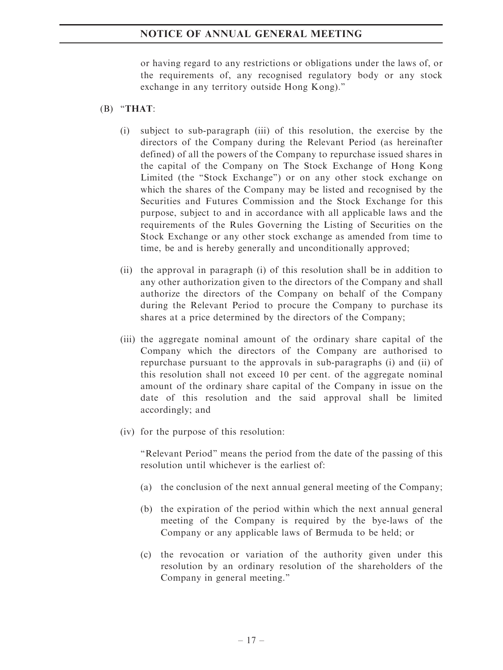or having regard to any restrictions or obligations under the laws of, or the requirements of, any recognised regulatory body or any stock exchange in any territory outside Hong Kong).''

### $(B)$  "THAT:

- (i) subject to sub-paragraph (iii) of this resolution, the exercise by the directors of the Company during the Relevant Period (as hereinafter defined) of all the powers of the Company to repurchase issued shares in the capital of the Company on The Stock Exchange of Hong Kong Limited (the "Stock Exchange") or on any other stock exchange on which the shares of the Company may be listed and recognised by the Securities and Futures Commission and the Stock Exchange for this purpose, subject to and in accordance with all applicable laws and the requirements of the Rules Governing the Listing of Securities on the Stock Exchange or any other stock exchange as amended from time to time, be and is hereby generally and unconditionally approved;
- (ii) the approval in paragraph (i) of this resolution shall be in addition to any other authorization given to the directors of the Company and shall authorize the directors of the Company on behalf of the Company during the Relevant Period to procure the Company to purchase its shares at a price determined by the directors of the Company;
- (iii) the aggregate nominal amount of the ordinary share capital of the Company which the directors of the Company are authorised to repurchase pursuant to the approvals in sub-paragraphs (i) and (ii) of this resolution shall not exceed 10 per cent. of the aggregate nominal amount of the ordinary share capital of the Company in issue on the date of this resolution and the said approval shall be limited accordingly; and
- (iv) for the purpose of this resolution:

''Relevant Period'' means the period from the date of the passing of this resolution until whichever is the earliest of:

- (a) the conclusion of the next annual general meeting of the Company;
- (b) the expiration of the period within which the next annual general meeting of the Company is required by the bye-laws of the Company or any applicable laws of Bermuda to be held; or
- (c) the revocation or variation of the authority given under this resolution by an ordinary resolution of the shareholders of the Company in general meeting.''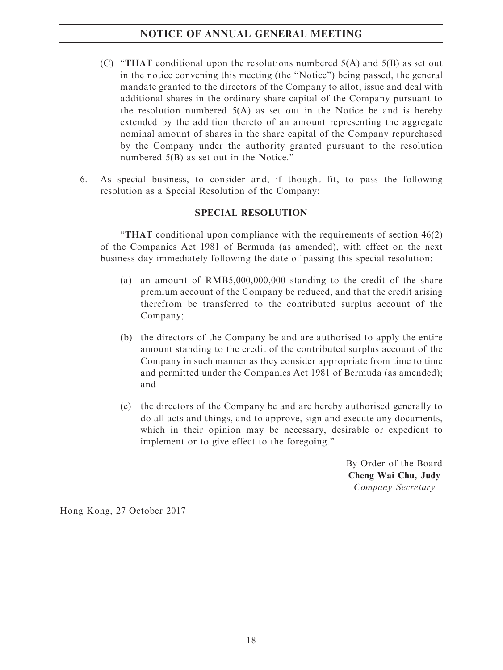- (C) "THAT conditional upon the resolutions numbered  $5(A)$  and  $5(B)$  as set out in the notice convening this meeting (the ''Notice'') being passed, the general mandate granted to the directors of the Company to allot, issue and deal with additional shares in the ordinary share capital of the Company pursuant to the resolution numbered  $5(A)$  as set out in the Notice be and is hereby extended by the addition thereto of an amount representing the aggregate nominal amount of shares in the share capital of the Company repurchased by the Company under the authority granted pursuant to the resolution numbered 5(B) as set out in the Notice."
- 6. As special business, to consider and, if thought fit, to pass the following resolution as a Special Resolution of the Company:

### SPECIAL RESOLUTION

''THAT conditional upon compliance with the requirements of section 46(2) of the Companies Act 1981 of Bermuda (as amended), with effect on the next business day immediately following the date of passing this special resolution:

- (a) an amount of RMB5,000,000,000 standing to the credit of the share premium account of the Company be reduced, and that the credit arising therefrom be transferred to the contributed surplus account of the Company;
- (b) the directors of the Company be and are authorised to apply the entire amount standing to the credit of the contributed surplus account of the Company in such manner as they consider appropriate from time to time and permitted under the Companies Act 1981 of Bermuda (as amended); and
- (c) the directors of the Company be and are hereby authorised generally to do all acts and things, and to approve, sign and execute any documents, which in their opinion may be necessary, desirable or expedient to implement or to give effect to the foregoing.''

By Order of the Board Cheng Wai Chu, Judy Company Secretary

Hong Kong, 27 October 2017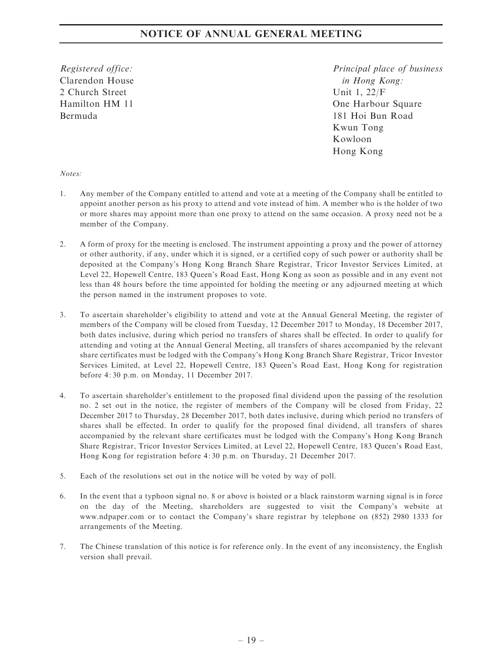Registered office: Clarendon House 2 Church Street Hamilton HM 11 Bermuda

Principal place of business in Hong Kong: Unit 1, 22/F One Harbour Square 181 Hoi Bun Road Kwun Tong Kowloon Hong Kong

Notes:

- 1. Any member of the Company entitled to attend and vote at a meeting of the Company shall be entitled to appoint another person as his proxy to attend and vote instead of him. A member who is the holder of two or more shares may appoint more than one proxy to attend on the same occasion. A proxy need not be a member of the Company.
- 2. A form of proxy for the meeting is enclosed. The instrument appointing a proxy and the power of attorney or other authority, if any, under which it is signed, or a certified copy of such power or authority shall be deposited at the Company's Hong Kong Branch Share Registrar, Tricor Investor Services Limited, at Level 22, Hopewell Centre, 183 Queen's Road East, Hong Kong as soon as possible and in any event not less than 48 hours before the time appointed for holding the meeting or any adjourned meeting at which the person named in the instrument proposes to vote.
- 3. To ascertain shareholder's eligibility to attend and vote at the Annual General Meeting, the register of members of the Company will be closed from Tuesday, 12 December 2017 to Monday, 18 December 2017, both dates inclusive, during which period no transfers of shares shall be effected. In order to qualify for attending and voting at the Annual General Meeting, all transfers of shares accompanied by the relevant share certificates must be lodged with the Company's Hong Kong Branch Share Registrar, Tricor Investor Services Limited, at Level 22, Hopewell Centre, 183 Queen's Road East, Hong Kong for registration before 4: 30 p.m. on Monday, 11 December 2017.
- 4. To ascertain shareholder's entitlement to the proposed final dividend upon the passing of the resolution no. 2 set out in the notice, the register of members of the Company will be closed from Friday, 22 December 2017 to Thursday, 28 December 2017, both dates inclusive, during which period no transfers of shares shall be effected. In order to qualify for the proposed final dividend, all transfers of shares accompanied by the relevant share certificates must be lodged with the Company's Hong Kong Branch Share Registrar, Tricor Investor Services Limited, at Level 22, Hopewell Centre, 183 Queen's Road East, Hong Kong for registration before 4: 30 p.m. on Thursday, 21 December 2017.
- 5. Each of the resolutions set out in the notice will be voted by way of poll.
- 6. In the event that a typhoon signal no. 8 or above is hoisted or a black rainstorm warning signal is in force on the day of the Meeting, shareholders are suggested to visit the Company's website at www.ndpaper.com or to contact the Company's share registrar by telephone on (852) 2980 1333 for arrangements of the Meeting.
- 7. The Chinese translation of this notice is for reference only. In the event of any inconsistency, the English version shall prevail.